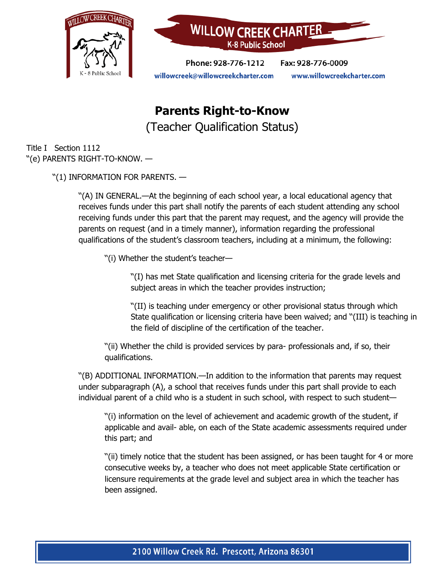



Phone: 928-776-1212 Fax: 928-776-0009 willowcreek@willowcreekcharter.com www.willowcreekcharter.com

## **Parents Right-to-Know** (Teacher Qualification Status)

Title I Section 1112 ''(e) PARENTS RIGHT-TO-KNOW. —

''(1) INFORMATION FOR PARENTS. —

''(A) IN GENERAL.—At the beginning of each school year, a local educational agency that receives funds under this part shall notify the parents of each student attending any school receiving funds under this part that the parent may request, and the agency will provide the parents on request (and in a timely manner), information regarding the professional qualifications of the student's classroom teachers, including at a minimum, the following:

''(i) Whether the student's teacher—

''(I) has met State qualification and licensing criteria for the grade levels and subject areas in which the teacher provides instruction;

''(II) is teaching under emergency or other provisional status through which State qualification or licensing criteria have been waived; and ''(III) is teaching in the field of discipline of the certification of the teacher.

''(ii) Whether the child is provided services by para- professionals and, if so, their qualifications.

''(B) ADDITIONAL INFORMATION.—In addition to the information that parents may request under subparagraph (A), a school that receives funds under this part shall provide to each individual parent of a child who is a student in such school, with respect to such student—

''(i) information on the level of achievement and academic growth of the student, if applicable and avail- able, on each of the State academic assessments required under this part; and

''(ii) timely notice that the student has been assigned, or has been taught for 4 or more consecutive weeks by, a teacher who does not meet applicable State certification or licensure requirements at the grade level and subject area in which the teacher has been assigned.